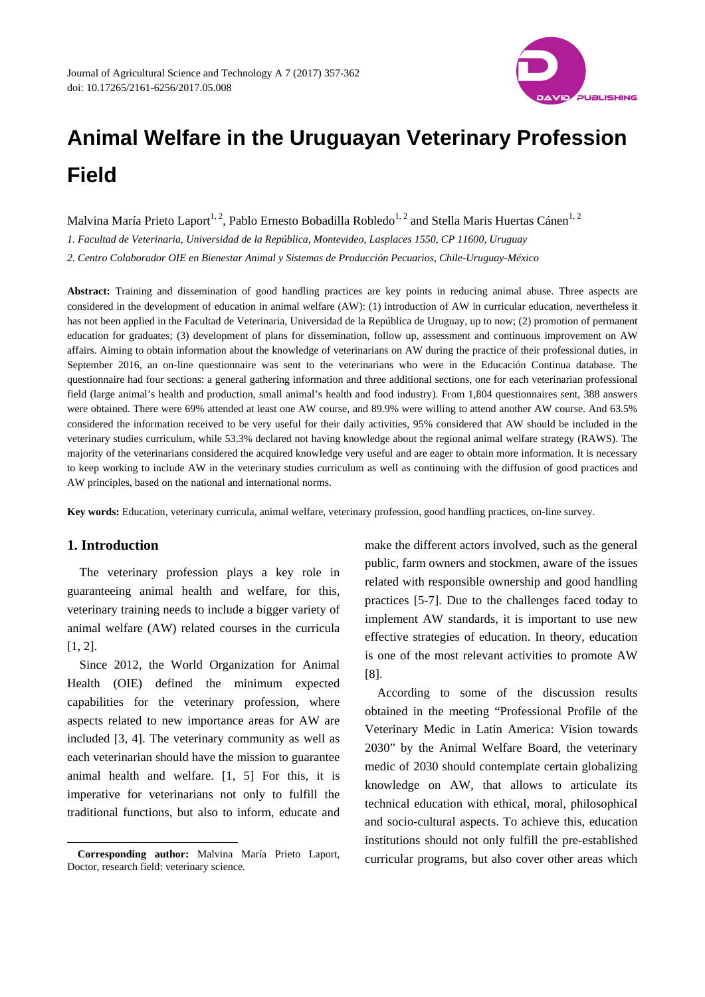

# **Animal Welfare in the Uruguayan Veterinary Profession Field**

Malvina María Prieto Laport<sup>1, 2</sup>, Pablo Ernesto Bobadilla Robledo<sup>1, 2</sup> and Stella Maris Huertas Cánen<sup>1, 2</sup>

*1. Facultad de Veterinaria, Universidad de la República, Montevideo, Lasplaces 1550, CP 11600, Uruguay* 

*2. Centro Colaborador OIE en Bienestar Animal y Sistemas de Producción Pecuarios, Chile-Uruguay-México* 

**Abstract:** Training and dissemination of good handling practices are key points in reducing animal abuse. Three aspects are considered in the development of education in animal welfare (AW): (1) introduction of AW in curricular education, nevertheless it has not been applied in the Facultad de Veterinaria, Universidad de la República de Uruguay, up to now; (2) promotion of permanent education for graduates; (3) development of plans for dissemination, follow up, assessment and continuous improvement on AW affairs. Aiming to obtain information about the knowledge of veterinarians on AW during the practice of their professional duties, in September 2016, an on-line questionnaire was sent to the veterinarians who were in the Educación Continua database. The questionnaire had four sections: a general gathering information and three additional sections, one for each veterinarian professional field (large animal's health and production, small animal's health and food industry). From 1,804 questionnaires sent, 388 answers were obtained. There were 69% attended at least one AW course, and 89.9% were willing to attend another AW course. And 63.5% considered the information received to be very useful for their daily activities, 95% considered that AW should be included in the veterinary studies curriculum, while 53.3% declared not having knowledge about the regional animal welfare strategy (RAWS). The majority of the veterinarians considered the acquired knowledge very useful and are eager to obtain more information. It is necessary to keep working to include AW in the veterinary studies curriculum as well as continuing with the diffusion of good practices and AW principles, based on the national and international norms.

**Key words:** Education, veterinary curricula, animal welfare, veterinary profession, good handling practices, on-line survey.

### **1. Introduction**

 $\overline{a}$ 

The veterinary profession plays a key role in guaranteeing animal health and welfare, for this, veterinary training needs to include a bigger variety of animal welfare (AW) related courses in the curricula [1, 2].

Since 2012, the World Organization for Animal Health (OIE) defined the minimum expected capabilities for the veterinary profession, where aspects related to new importance areas for AW are included [3, 4]. The veterinary community as well as each veterinarian should have the mission to guarantee animal health and welfare. [1, 5] For this, it is imperative for veterinarians not only to fulfill the traditional functions, but also to inform, educate and make the different actors involved, such as the general public, farm owners and stockmen, aware of the issues related with responsible ownership and good handling practices [5-7]. Due to the challenges faced today to implement AW standards, it is important to use new effective strategies of education. In theory, education is one of the most relevant activities to promote AW [8].

According to some of the discussion results obtained in the meeting "Professional Profile of the Veterinary Medic in Latin America: Vision towards 2030" by the Animal Welfare Board, the veterinary medic of 2030 should contemplate certain globalizing knowledge on AW, that allows to articulate its technical education with ethical, moral, philosophical and socio-cultural aspects. To achieve this, education institutions should not only fulfill the pre-established curricular programs, but also cover other areas which

**Corresponding author:** Malvina María Prieto Laport, Doctor, research field: veterinary science.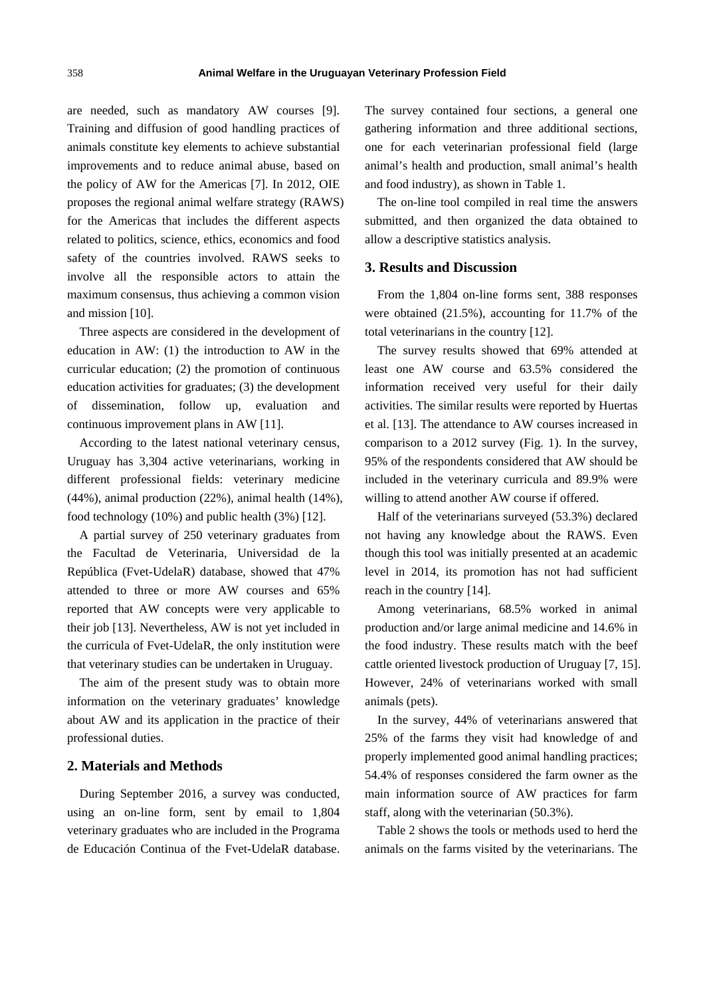are needed, such as mandatory AW courses [9]. Training and diffusion of good handling practices of animals constitute key elements to achieve substantial improvements and to reduce animal abuse, based on the policy of AW for the Americas [7]. In 2012, OIE proposes the regional animal welfare strategy (RAWS) for the Americas that includes the different aspects related to politics, science, ethics, economics and food safety of the countries involved. RAWS seeks to involve all the responsible actors to attain the maximum consensus, thus achieving a common vision and mission [10].

Three aspects are considered in the development of education in AW: (1) the introduction to AW in the curricular education; (2) the promotion of continuous education activities for graduates; (3) the development of dissemination, follow up, evaluation and continuous improvement plans in AW [11].

According to the latest national veterinary census, Uruguay has 3,304 active veterinarians, working in different professional fields: veterinary medicine (44%), animal production (22%), animal health (14%), food technology (10%) and public health (3%) [12].

A partial survey of 250 veterinary graduates from the Facultad de Veterinaria, Universidad de la República (Fvet-UdelaR) database, showed that 47% attended to three or more AW courses and 65% reported that AW concepts were very applicable to their job [13]. Nevertheless, AW is not yet included in the curricula of Fvet-UdelaR, the only institution were that veterinary studies can be undertaken in Uruguay.

The aim of the present study was to obtain more information on the veterinary graduates' knowledge about AW and its application in the practice of their professional duties.

## **2. Materials and Methods**

During September 2016, a survey was conducted, using an on-line form, sent by email to 1,804 veterinary graduates who are included in the Programa de Educación Continua of the Fvet-UdelaR database. The survey contained four sections, a general one gathering information and three additional sections, one for each veterinarian professional field (large animal's health and production, small animal's health and food industry), as shown in Table 1.

The on-line tool compiled in real time the answers submitted, and then organized the data obtained to allow a descriptive statistics analysis.

#### **3. Results and Discussion**

From the 1,804 on-line forms sent, 388 responses were obtained (21.5%), accounting for 11.7% of the total veterinarians in the country [12].

The survey results showed that 69% attended at least one AW course and 63.5% considered the information received very useful for their daily activities. The similar results were reported by Huertas et al. [13]. The attendance to AW courses increased in comparison to a 2012 survey (Fig. 1). In the survey, 95% of the respondents considered that AW should be included in the veterinary curricula and 89.9% were willing to attend another AW course if offered.

Half of the veterinarians surveyed (53.3%) declared not having any knowledge about the RAWS. Even though this tool was initially presented at an academic level in 2014, its promotion has not had sufficient reach in the country [14].

Among veterinarians, 68.5% worked in animal production and/or large animal medicine and 14.6% in the food industry. These results match with the beef cattle oriented livestock production of Uruguay [7, 15]. However, 24% of veterinarians worked with small animals (pets).

In the survey, 44% of veterinarians answered that 25% of the farms they visit had knowledge of and properly implemented good animal handling practices; 54.4% of responses considered the farm owner as the main information source of AW practices for farm staff, along with the veterinarian (50.3%).

Table 2 shows the tools or methods used to herd the animals on the farms visited by the veterinarians. The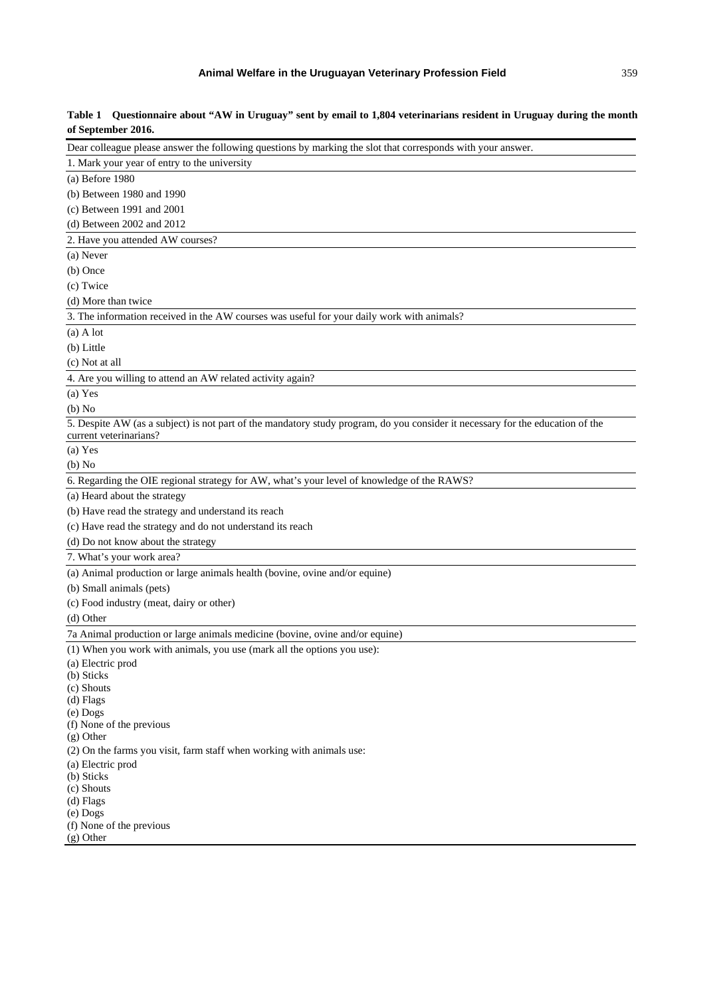### **Animal Welfare in the Uruguayan Veterinary Profession Field**

| Dear colleague please answer the following questions by marking the slot that corresponds with your answer.                    |
|--------------------------------------------------------------------------------------------------------------------------------|
| 1. Mark your year of entry to the university                                                                                   |
| $(a)$ Before 1980                                                                                                              |
|                                                                                                                                |
| (b) Between 1980 and 1990                                                                                                      |
| (c) Between 1991 and 2001                                                                                                      |
| (d) Between $2002$ and $2012$                                                                                                  |
| 2. Have you attended AW courses?                                                                                               |
| (a) Never                                                                                                                      |
| (b) Once                                                                                                                       |
| (c) Twice                                                                                                                      |
| (d) More than twice                                                                                                            |
| 3. The information received in the AW courses was useful for your daily work with animals?                                     |
| $(a)$ A lot                                                                                                                    |
| (b) Little                                                                                                                     |
| (c) Not at all                                                                                                                 |
| 4. Are you willing to attend an AW related activity again?                                                                     |
| (a) Yes                                                                                                                        |
| (b) No                                                                                                                         |
| 5. Despite AW (as a subject) is not part of the mandatory study program, do you consider it necessary for the education of the |
| current veterinarians?                                                                                                         |
| (a) Yes                                                                                                                        |
| (b) No                                                                                                                         |
| 6. Regarding the OIE regional strategy for AW, what's your level of knowledge of the RAWS?                                     |
| (a) Heard about the strategy                                                                                                   |
| (b) Have read the strategy and understand its reach                                                                            |
| (c) Have read the strategy and do not understand its reach                                                                     |
| (d) Do not know about the strategy                                                                                             |
| 7. What's your work area?                                                                                                      |
| (a) Animal production or large animals health (bovine, ovine and/or equine)                                                    |
| (b) Small animals (pets)                                                                                                       |
| (c) Food industry (meat, dairy or other)                                                                                       |
| (d) Other                                                                                                                      |
|                                                                                                                                |
| 7a Animal production or large animals medicine (bovine, ovine and/or equine)                                                   |
| (1) When you work with animals, you use (mark all the options you use):<br>(a) Electric prod                                   |
| (b) Sticks                                                                                                                     |
| (c) Shouts                                                                                                                     |
| (d) Flags                                                                                                                      |
| $(e)$ Dogs                                                                                                                     |
| (f) None of the previous                                                                                                       |
| (g) Other                                                                                                                      |
| (2) On the farms you visit, farm staff when working with animals use:<br>(a) Electric prod                                     |
| (b) Sticks                                                                                                                     |
| (c) Shouts                                                                                                                     |
| $(d)$ Flags                                                                                                                    |
| (e) Dogs                                                                                                                       |
| (f) None of the previous                                                                                                       |
| $(g)$ Other                                                                                                                    |

**Table 1 Questionnaire about "AW in Uruguay" sent by email to 1,804 veterinarians resident in Uruguay during the month of September 2016.**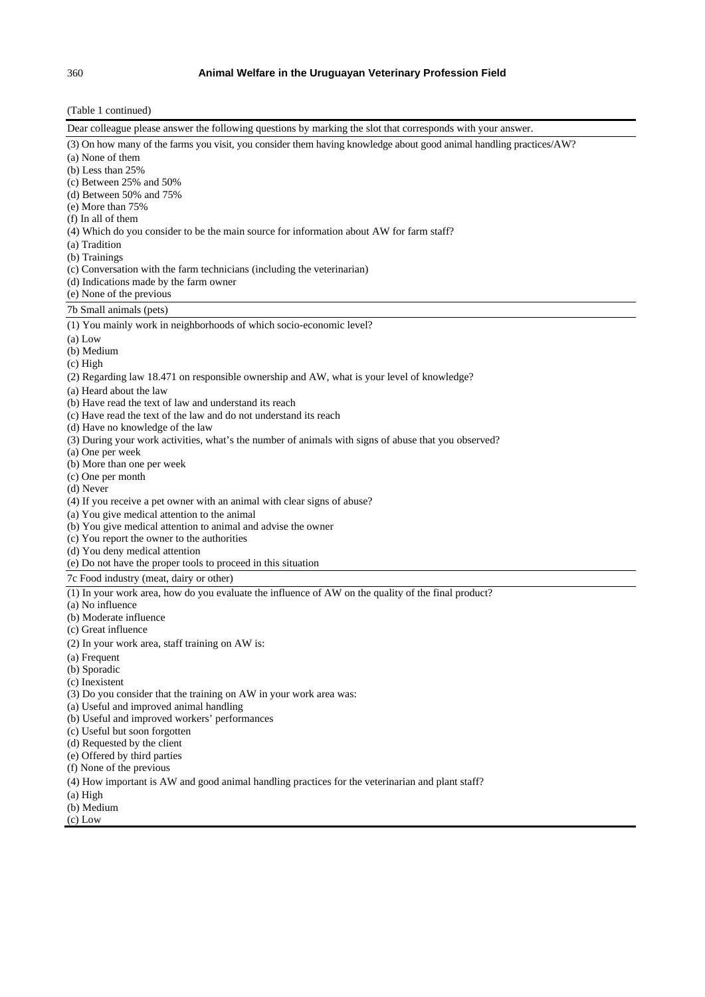(Table 1 continued)

| Dear colleague please answer the following questions by marking the slot that corresponds with your answer.         |
|---------------------------------------------------------------------------------------------------------------------|
| (3) On how many of the farms you visit, you consider them having knowledge about good animal handling practices/AW? |
| (a) None of them                                                                                                    |
| (b) Less than $25%$                                                                                                 |
| $(c)$ Between 25% and 50%                                                                                           |
| (d) Between $50\%$ and $75\%$                                                                                       |
| $(e)$ More than $75%$                                                                                               |
| (f) In all of them                                                                                                  |
| (4) Which do you consider to be the main source for information about AW for farm staff?                            |
| (a) Tradition                                                                                                       |
| (b) Trainings                                                                                                       |
| (c) Conversation with the farm technicians (including the veterinarian)                                             |
| (d) Indications made by the farm owner                                                                              |
| (e) None of the previous                                                                                            |
| 7b Small animals (pets)                                                                                             |
| (1) You mainly work in neighborhoods of which socio-economic level?                                                 |
| $(a)$ Low                                                                                                           |
| (b) Medium                                                                                                          |
| $(c)$ High                                                                                                          |
| (2) Regarding law 18.471 on responsible ownership and AW, what is your level of knowledge?                          |
| (a) Heard about the law                                                                                             |
| (b) Have read the text of law and understand its reach                                                              |
| (c) Have read the text of the law and do not understand its reach                                                   |
| (d) Have no knowledge of the law                                                                                    |
| (3) During your work activities, what's the number of animals with signs of abuse that you observed?                |
| (a) One per week                                                                                                    |
| (b) More than one per week                                                                                          |
| (c) One per month                                                                                                   |
| (d) Never                                                                                                           |
| (4) If you receive a pet owner with an animal with clear signs of abuse?                                            |
| (a) You give medical attention to the animal                                                                        |
| (b) You give medical attention to animal and advise the owner                                                       |
| (c) You report the owner to the authorities                                                                         |
| (d) You deny medical attention                                                                                      |
| (e) Do not have the proper tools to proceed in this situation                                                       |
| 7c Food industry (meat, dairy or other)                                                                             |
| (1) In your work area, how do you evaluate the influence of AW on the quality of the final product?                 |
| (a) No influence                                                                                                    |
| (b) Moderate influence                                                                                              |
| (c) Great influence                                                                                                 |
| (2) In your work area, staff training on AW is:                                                                     |
| (a) Frequent                                                                                                        |
| (b) Sporadic                                                                                                        |
| (c) Inexistent                                                                                                      |
| (3) Do you consider that the training on AW in your work area was:                                                  |
| (a) Useful and improved animal handling                                                                             |
| (b) Useful and improved workers' performances                                                                       |
| (c) Useful but soon forgotten                                                                                       |
| (d) Requested by the client                                                                                         |
| (e) Offered by third parties                                                                                        |
| (f) None of the previous                                                                                            |
| (4) How important is AW and good animal handling practices for the veterinarian and plant staff?                    |
| $(a)$ High                                                                                                          |
| (b) Medium                                                                                                          |
| $(c)$ Low                                                                                                           |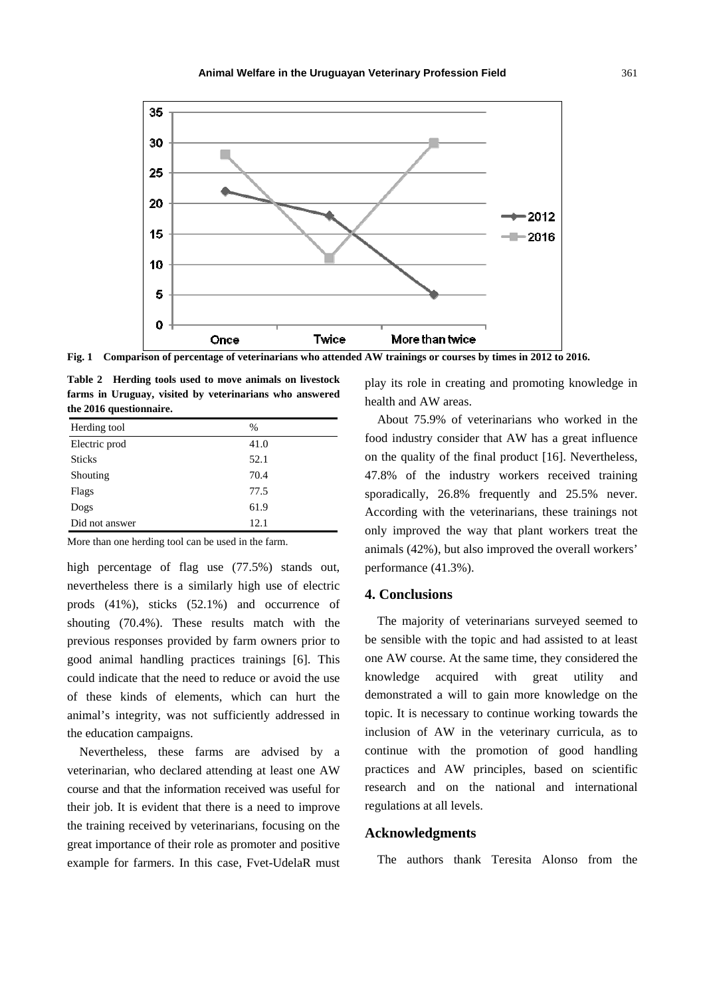

**Fig. 1 Comparison of percentage of veterinarians who attended AW trainings or courses by times in 2012 to 2016.** 

**Table 2 Herding tools used to move animals on livestock farms in Uruguay, visited by veterinarians who answered the 2016 questionnaire.** 

| Herding tool   | $\frac{0}{0}$ |
|----------------|---------------|
| Electric prod  | 41.0          |
| <b>Sticks</b>  | 52.1          |
| Shouting       | 70.4          |
| Flags          | 77.5          |
| Dogs           | 61.9          |
| Did not answer | 12.1          |

More than one herding tool can be used in the farm.

high percentage of flag use (77.5%) stands out, nevertheless there is a similarly high use of electric prods (41%), sticks (52.1%) and occurrence of shouting (70.4%). These results match with the previous responses provided by farm owners prior to good animal handling practices trainings [6]. This could indicate that the need to reduce or avoid the use of these kinds of elements, which can hurt the animal's integrity, was not sufficiently addressed in the education campaigns.

Nevertheless, these farms are advised by a veterinarian, who declared attending at least one AW course and that the information received was useful for their job. It is evident that there is a need to improve the training received by veterinarians, focusing on the great importance of their role as promoter and positive example for farmers. In this case, Fvet-UdelaR must play its role in creating and promoting knowledge in health and AW areas.

About 75.9% of veterinarians who worked in the food industry consider that AW has a great influence on the quality of the final product [16]. Nevertheless, 47.8% of the industry workers received training sporadically, 26.8% frequently and 25.5% never. According with the veterinarians, these trainings not only improved the way that plant workers treat the animals (42%), but also improved the overall workers' performance (41.3%).

## **4. Conclusions**

The majority of veterinarians surveyed seemed to be sensible with the topic and had assisted to at least one AW course. At the same time, they considered the knowledge acquired with great utility and demonstrated a will to gain more knowledge on the topic. It is necessary to continue working towards the inclusion of AW in the veterinary curricula, as to continue with the promotion of good handling practices and AW principles, based on scientific research and on the national and international regulations at all levels.

#### **Acknowledgments**

The authors thank Teresita Alonso from the